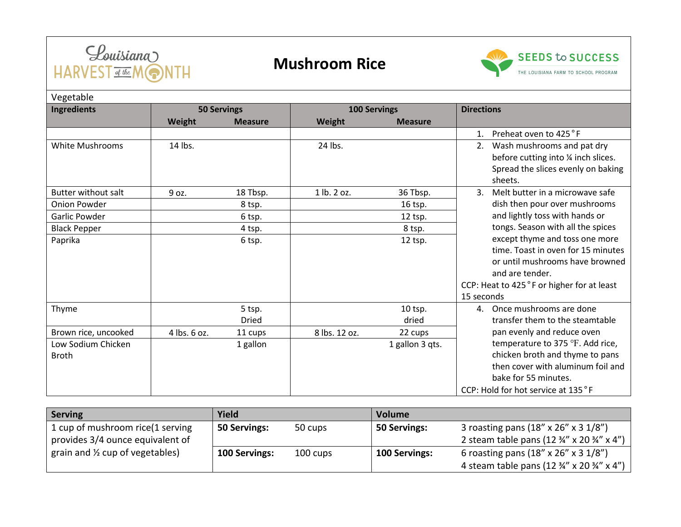

## **Mushroom Rice**



| Vegetable                          |                    |                |                     |                 |                                                                                                                                                                                       |  |  |  |  |  |
|------------------------------------|--------------------|----------------|---------------------|-----------------|---------------------------------------------------------------------------------------------------------------------------------------------------------------------------------------|--|--|--|--|--|
| Ingredients                        | <b>50 Servings</b> |                | <b>100 Servings</b> |                 | <b>Directions</b>                                                                                                                                                                     |  |  |  |  |  |
|                                    | <b>Weight</b>      | <b>Measure</b> | Weight              | <b>Measure</b>  |                                                                                                                                                                                       |  |  |  |  |  |
|                                    |                    |                |                     |                 | Preheat oven to 425 °F<br>1.                                                                                                                                                          |  |  |  |  |  |
| White Mushrooms                    | 14 lbs.            |                | 24 lbs.             |                 | Wash mushrooms and pat dry<br>2.<br>before cutting into 1/4 inch slices.<br>Spread the slices evenly on baking<br>sheets.                                                             |  |  |  |  |  |
| <b>Butter without salt</b>         | 9 oz.              | 18 Tbsp.       | 1 lb. 2 oz.         | 36 Tbsp.        | Melt butter in a microwave safe<br>3.                                                                                                                                                 |  |  |  |  |  |
| <b>Onion Powder</b>                |                    | 8 tsp.         |                     | 16 tsp.         | dish then pour over mushrooms                                                                                                                                                         |  |  |  |  |  |
| Garlic Powder                      |                    | 6 tsp.         |                     | 12 tsp.         | and lightly toss with hands or                                                                                                                                                        |  |  |  |  |  |
| <b>Black Pepper</b>                |                    | 4 tsp.         |                     | 8 tsp.          | tongs. Season with all the spices                                                                                                                                                     |  |  |  |  |  |
| Paprika                            |                    | 6 tsp.         |                     | 12 tsp.         | except thyme and toss one more<br>time. Toast in oven for 15 minutes<br>or until mushrooms have browned<br>and are tender.<br>CCP: Heat to 425°F or higher for at least<br>15 seconds |  |  |  |  |  |
| Thyme                              |                    | 5 tsp.         |                     | 10 tsp.         | 4. Once mushrooms are done                                                                                                                                                            |  |  |  |  |  |
|                                    |                    | <b>Dried</b>   |                     | dried           | transfer them to the steamtable                                                                                                                                                       |  |  |  |  |  |
| Brown rice, uncooked               | 4 lbs. 6 oz.       | 11 cups        | 8 lbs. 12 oz.       | 22 cups         | pan evenly and reduce oven                                                                                                                                                            |  |  |  |  |  |
| Low Sodium Chicken<br><b>Broth</b> |                    | 1 gallon       |                     | 1 gallon 3 qts. | temperature to 375 °F. Add rice,<br>chicken broth and thyme to pans                                                                                                                   |  |  |  |  |  |
|                                    |                    |                |                     |                 | then cover with aluminum foil and<br>bake for 55 minutes.<br>CCP: Hold for hot service at 135°F                                                                                       |  |  |  |  |  |

| Serving                                    | Yield         |                           | <b>Volume</b> |                                                                   |
|--------------------------------------------|---------------|---------------------------|---------------|-------------------------------------------------------------------|
| 1 cup of mushroom rice(1 serving           | 50 Servings:  | 50 Servings:<br>50 cups   |               | 3 roasting pans (18" x 26" x 3 1/8")                              |
| provides 3/4 ounce equivalent of           |               |                           |               | 2 steam table pans (12 $\frac{3}{4}$ " x 20 $\frac{3}{4}$ " x 4") |
| grain and $\frac{1}{2}$ cup of vegetables) | 100 Servings: | 100 Servings:<br>100 cups |               | 6 roasting pans (18" x 26" x 3 1/8")                              |
|                                            |               |                           |               | 4 steam table pans (12 3/4" x 20 3/4" x 4")                       |